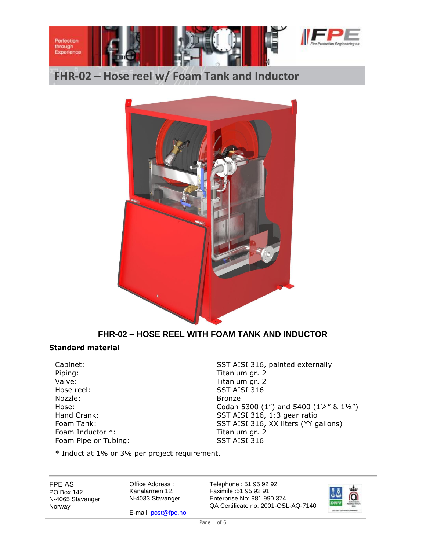



## **FHR-02 – HOSE REEL WITH FOAM TANK AND INDUCTOR**

#### **Standard material**

Piping: Titanium gr. 2 Valve: Valve: Titanium gr. 2 Hose reel: SST AISI 316 Nozzle: Bronze Foam Inductor \*: Titanium gr. 2 Foam Pipe or Tubing: SST AISI 316

Cabinet: Cabinet: SST AISI 316, painted externally Hose: Codan 5300 (1") and 5400 (1'4" & 11/2") Hand Crank: SST AISI 316, 1:3 gear ratio Foam Tank: SST AISI 316, XX liters (YY gallons)

\* Induct at 1% or 3% per project requirement.

FPE AS PO Box 142 N-4065 Stavanger Norway

Office Address : Kanalarmen 12, N-4033 Stavanger

E-mail[: post@fpe.no](mailto:post@fpe.no)

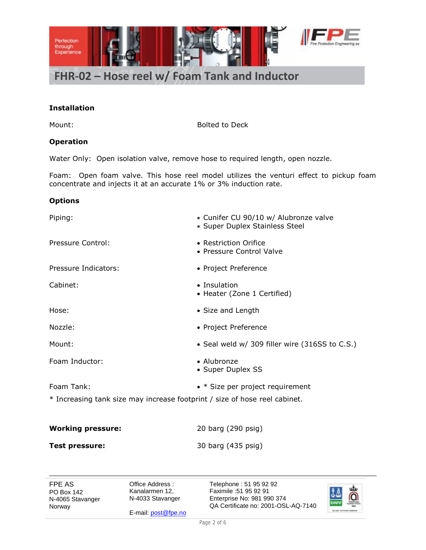

#### **Installation**

Mount: Bolted to Deck

#### **Operation**

Water Only: Open isolation valve, remove hose to required length, open nozzle.

Foam: Open foam valve. This hose reel model utilizes the venturi effect to pickup foam concentrate and injects it at an accurate 1% or 3% induction rate.

#### **Options**

| Piping:                                                                    | • Cunifer CU 90/10 w/ Alubronze valve<br>• Super Duplex Stainless Steel |  |
|----------------------------------------------------------------------------|-------------------------------------------------------------------------|--|
| Pressure Control:                                                          | • Restriction Orifice<br>• Pressure Control Valve                       |  |
| Pressure Indicators:                                                       | • Project Preference                                                    |  |
| Cabinet:                                                                   | • Insulation<br>• Heater (Zone 1 Certified)                             |  |
| Hose:                                                                      | • Size and Length                                                       |  |
| Nozzle:                                                                    | • Project Preference                                                    |  |
| Mount:                                                                     | • Seal weld w/ 309 filler wire (316SS to C.S.)                          |  |
| Foam Inductor:                                                             | • Alubronze<br>• Super Duplex SS                                        |  |
| Foam Tank:                                                                 | $\bullet$ * Size per project requirement                                |  |
| * Increasing tank size may increase footprint / size of hose reel cabinet. |                                                                         |  |

| <b>Working pressure:</b> | 20 barg (290 psig) |
|--------------------------|--------------------|
| <b>Test pressure:</b>    | 30 barg (435 psig) |

FPE AS PO Box 142 N-4065 Stavanger Norway

Office Address : Kanalarmen 12, N-4033 Stavanger

E-mail[: post@fpe.no](mailto:post@fpe.no)

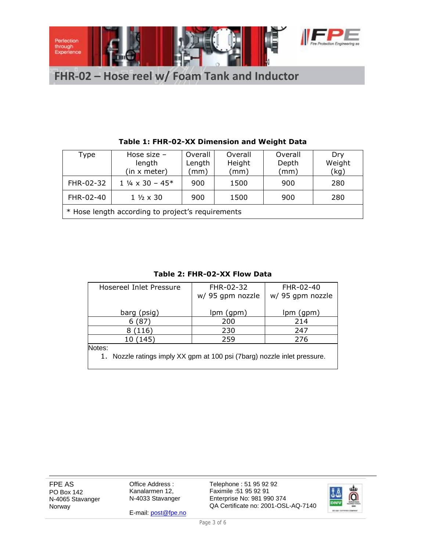

| Type                                              | Hose size $-$<br>length<br>(in x meter) | Overall<br>Length<br>(mm) | Overall<br>Height<br>(mm) | Overall<br>Depth<br>(mm) | Dry<br>Weight<br>(kg) |  |
|---------------------------------------------------|-----------------------------------------|---------------------------|---------------------------|--------------------------|-----------------------|--|
| FHR-02-32                                         | $1\frac{1}{4} \times 30 - 45^*$         | 900                       | 1500                      | 900                      | 280                   |  |
| FHR-02-40                                         | $1\frac{1}{2} \times 30$                | 900                       | 1500                      | 900                      | 280                   |  |
| * Hose length according to project's requirements |                                         |                           |                           |                          |                       |  |

### **Table 1: FHR-02-XX Dimension and Weight Data**

**Table 2: FHR-02-XX Flow Data**

| Hosereel Inlet Pressure                                                  | FHR-02-32        | FHR-02-40        |  |  |  |  |
|--------------------------------------------------------------------------|------------------|------------------|--|--|--|--|
|                                                                          | w/ 95 gpm nozzle | w/ 95 gpm nozzle |  |  |  |  |
|                                                                          |                  |                  |  |  |  |  |
| barg (psig)                                                              | lpm (gpm)        | $lpm($ gpm $)$   |  |  |  |  |
| ั87<br>6                                                                 | 200              | 214              |  |  |  |  |
| 8(116)                                                                   | 230              | 247              |  |  |  |  |
| 10 (145)                                                                 | 259              | 276              |  |  |  |  |
| Notes:                                                                   |                  |                  |  |  |  |  |
| 1. Nozzle ratings imply XX gpm at 100 psi (7barg) nozzle inlet pressure. |                  |                  |  |  |  |  |
|                                                                          |                  |                  |  |  |  |  |

FPE AS PO Box 142 N-4065 Stavanger Norway

Office Address : Kanalarmen 12, N-4033 Stavanger

E-mail[: post@fpe.no](mailto:post@fpe.no)

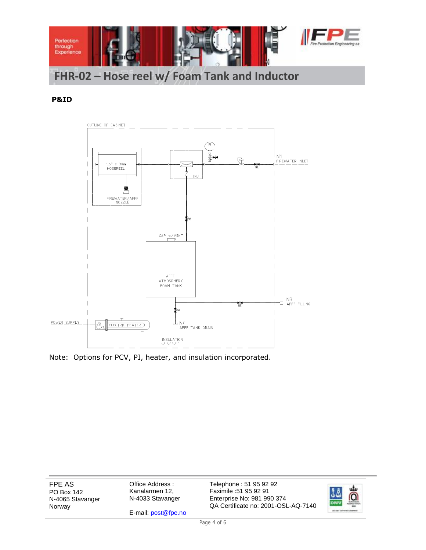

#### **P&ID**



Note: Options for PCV, PI, heater, and insulation incorporated.

FPE AS PO Box 142 N-4065 Stavanger Norway

Office Address : Kanalarmen 12, N-4033 Stavanger

E-mail[: post@fpe.no](mailto:post@fpe.no)

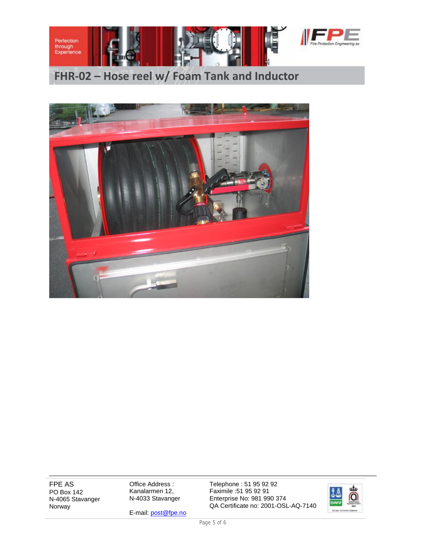



FPE AS PO Box 142 N-4065 Stavanger Norway

Office Address : Kanalarmen 12, N-4033 Stavanger

E-mail[: post@fpe.no](mailto:post@fpe.no)